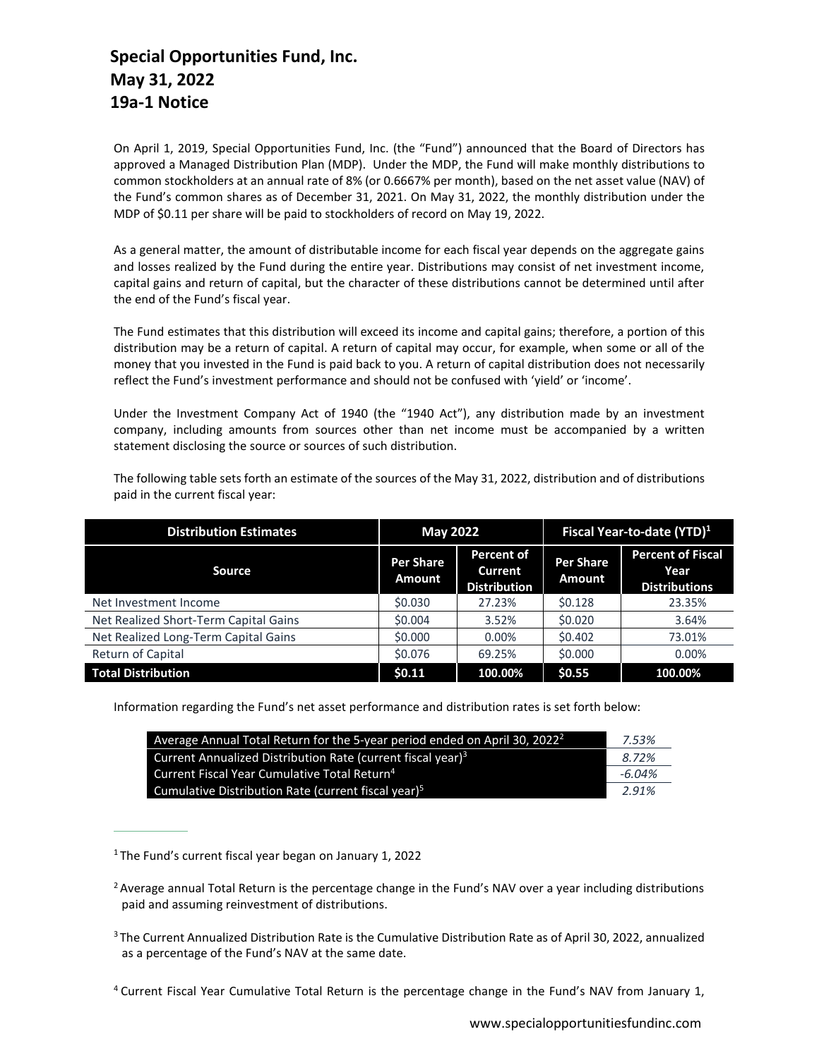## **Special Opportunities Fund, Inc. May 31, 2022 19a-1 Notice**

On April 1, 2019, Special Opportunities Fund, Inc. (the "Fund") announced that the Board of Directors has approved a Managed Distribution Plan (MDP). Under the MDP, the Fund will make monthly distributions to common stockholders at an annual rate of 8% (or 0.6667% per month), based on the net asset value (NAV) of the Fund's common shares as of December 31, 2021. On May 31, 2022, the monthly distribution under the MDP of \$0.11 per share will be paid to stockholders of record on May 19, 2022.

As a general matter, the amount of distributable income for each fiscal year depends on the aggregate gains and losses realized by the Fund during the entire year. Distributions may consist of net investment income, capital gains and return of capital, but the character of these distributions cannot be determined until after the end of the Fund's fiscal year.

The Fund estimates that this distribution will exceed its income and capital gains; therefore, a portion of this distribution may be a return of capital. A return of capital may occur, for example, when some or all of the money that you invested in the Fund is paid back to you. A return of capital distribution does not necessarily reflect the Fund's investment performance and should not be confused with 'yield' or 'income'.

Under the Investment Company Act of 1940 (the "1940 Act"), any distribution made by an investment company, including amounts from sources other than net income must be accompanied by a written statement disclosing the source or sources of such distribution.

The following table sets forth an estimate of the sources of the May 31, 2022, distribution and of distributions paid in the current fiscal year:

| <b>Distribution Estimates</b>         | <b>May 2022</b>                   |                                              | Fiscal Year-to-date (YTD) <sup>1</sup> |                                                          |
|---------------------------------------|-----------------------------------|----------------------------------------------|----------------------------------------|----------------------------------------------------------|
| <b>Source</b>                         | <b>Per Share</b><br><b>Amount</b> | Percent of<br>Current<br><b>Distribution</b> | <b>Per Share</b><br>Amount             | <b>Percent of Fiscal</b><br>Year<br><b>Distributions</b> |
| Net Investment Income                 | \$0.030                           | 27.23%                                       | \$0.128                                | 23.35%                                                   |
| Net Realized Short-Term Capital Gains | \$0.004                           | 3.52%                                        | \$0.020                                | 3.64%                                                    |
| Net Realized Long-Term Capital Gains  | \$0.000                           | $0.00\%$                                     | \$0.402                                | 73.01%                                                   |
| Return of Capital                     | \$0.076                           | 69.25%                                       | \$0.000                                | 0.00%                                                    |
| <b>Total Distribution</b>             | \$0.11                            | 100.00%                                      | \$0.55                                 | 100.00%                                                  |

Information regarding the Fund's net asset performance and distribution rates is set forth below:

| Average Annual Total Return for the 5-year period ended on April 30, 2022 <sup>2</sup> |           |
|----------------------------------------------------------------------------------------|-----------|
| Current Annualized Distribution Rate (current fiscal year) <sup>3</sup>                | 8.72%     |
| Current Fiscal Year Cumulative Total Return <sup>4</sup>                               | $-6.04\%$ |
| Cumulative Distribution Rate (current fiscal vear) <sup>5</sup>                        | 2.91%     |

<sup>&</sup>lt;sup>1</sup> The Fund's current fiscal year began on January 1, 2022

<sup>&</sup>lt;sup>2</sup> Average annual Total Return is the percentage change in the Fund's NAV over a year including distributions paid and assuming reinvestment of distributions.

<sup>&</sup>lt;sup>3</sup> The Current Annualized Distribution Rate is the Cumulative Distribution Rate as of April 30, 2022, annualized as a percentage of the Fund's NAV at the same date.

<sup>4</sup> Current Fiscal Year Cumulative Total Return is the percentage change in the Fund's NAV from January 1,